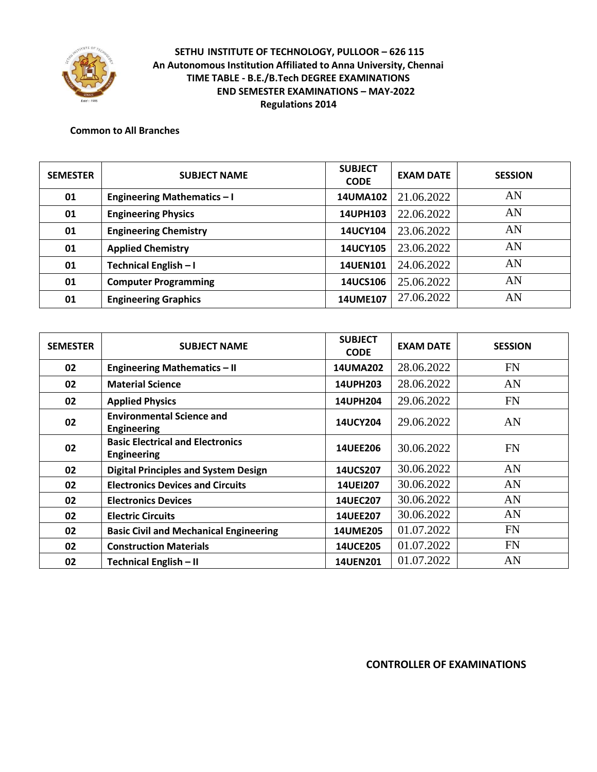

#### **Common to All Branches**

| <b>SEMESTER</b> | <b>SUBJECT NAME</b>                | <b>SUBJECT</b><br><b>CODE</b> | <b>EXAM DATE</b> | <b>SESSION</b> |
|-----------------|------------------------------------|-------------------------------|------------------|----------------|
| 01              | <b>Engineering Mathematics - I</b> | 14UMA102                      | 21.06.2022       | AN             |
| 01              | <b>Engineering Physics</b>         | 14UPH103                      | 22.06.2022       | AN             |
| 01              | <b>Engineering Chemistry</b>       | 14UCY104                      | 23.06.2022       | AN             |
| 01              | <b>Applied Chemistry</b>           | <b>14UCY105</b>               | 23.06.2022       | AN             |
| 01              | Technical English - I              | <b>14UEN101</b>               | 24.06.2022       | AN             |
| 01              | <b>Computer Programming</b>        | 14UCS106                      | 25.06.2022       | AN             |
| 01              | <b>Engineering Graphics</b>        | 14UME107                      | 27.06.2022       | AN             |

| <b>SEMESTER</b> | <b>SUBJECT NAME</b>                                           | <b>SUBJECT</b><br><b>CODE</b> | <b>EXAM DATE</b> | <b>SESSION</b> |
|-----------------|---------------------------------------------------------------|-------------------------------|------------------|----------------|
| 02              | <b>Engineering Mathematics - II</b>                           | <b>14UMA202</b>               | 28.06.2022       | <b>FN</b>      |
| 02              | <b>Material Science</b>                                       | 14UPH203                      | 28.06.2022       | AN             |
| 02              | <b>Applied Physics</b>                                        | <b>14UPH204</b>               | 29.06.2022       | <b>FN</b>      |
| 02              | <b>Environmental Science and</b><br><b>Engineering</b>        | <b>14UCY204</b>               | 29.06.2022       | AN             |
| 02              | <b>Basic Electrical and Electronics</b><br><b>Engineering</b> | <b>14UEE206</b>               | 30.06.2022       | <b>FN</b>      |
| 02              | <b>Digital Principles and System Design</b>                   | <b>14UCS207</b>               | 30.06.2022       | AN             |
| 02              | <b>Electronics Devices and Circuits</b>                       | <b>14UEI207</b>               | 30.06.2022       | AN             |
| 02              | <b>Electronics Devices</b>                                    | <b>14UEC207</b>               | 30.06.2022       | AN             |
| 02              | <b>Electric Circuits</b>                                      | <b>14UEE207</b>               | 30.06.2022       | AN             |
| 02              | <b>Basic Civil and Mechanical Engineering</b>                 | <b>14UME205</b>               | 01.07.2022       | <b>FN</b>      |
| 02              | <b>Construction Materials</b>                                 | <b>14UCE205</b>               | 01.07.2022       | <b>FN</b>      |
| 02              | Technical English - II                                        | <b>14UEN201</b>               | 01.07.2022       | AN             |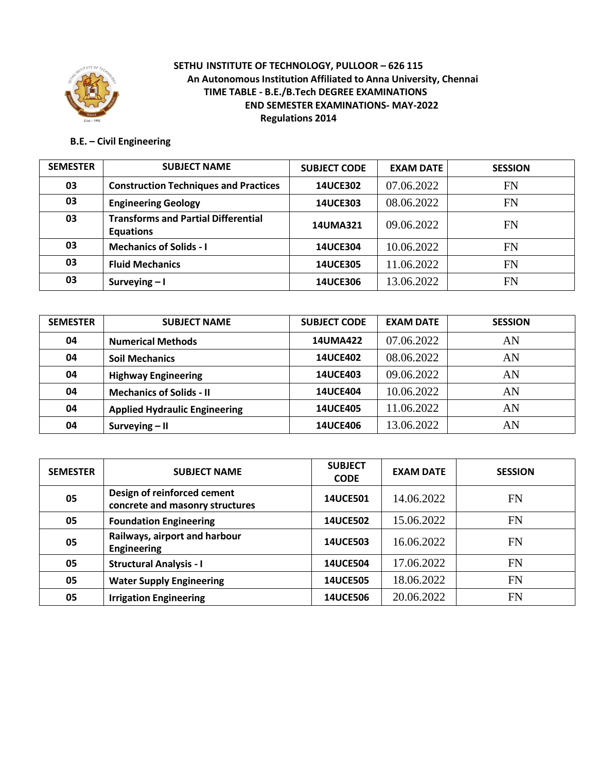

## **B.E. – Civil Engineering**

| <b>SEMESTER</b> | <b>SUBJECT NAME</b>                                            | <b>SUBJECT CODE</b> | <b>EXAM DATE</b> | <b>SESSION</b> |
|-----------------|----------------------------------------------------------------|---------------------|------------------|----------------|
| 03              | <b>Construction Techniques and Practices</b>                   | <b>14UCE302</b>     | 07.06.2022       | <b>FN</b>      |
| 03              | <b>Engineering Geology</b>                                     | <b>14UCE303</b>     | 08.06.2022       | <b>FN</b>      |
| 03              | <b>Transforms and Partial Differential</b><br><b>Equations</b> | <b>14UMA321</b>     | 09.06.2022       | <b>FN</b>      |
| 03              | <b>Mechanics of Solids - I</b>                                 | <b>14UCE304</b>     | 10.06.2022       | <b>FN</b>      |
| 03              | <b>Fluid Mechanics</b>                                         | <b>14UCE305</b>     | 11.06.2022       | <b>FN</b>      |
| 03              | Surveying $-1$                                                 | <b>14UCE306</b>     | 13.06.2022       | <b>FN</b>      |

| <b>SEMESTER</b> | <b>SUBJECT NAME</b>                  | <b>SUBJECT CODE</b> | <b>EXAM DATE</b> | <b>SESSION</b> |
|-----------------|--------------------------------------|---------------------|------------------|----------------|
| 04              | <b>Numerical Methods</b>             | <b>14UMA422</b>     | 07.06.2022       | AN             |
| 04              | <b>Soil Mechanics</b>                | <b>14UCE402</b>     | 08.06.2022       | AN             |
| 04              | <b>Highway Engineering</b>           | <b>14UCE403</b>     | 09.06.2022       | AN             |
| 04              | <b>Mechanics of Solids - II</b>      | <b>14UCE404</b>     | 10.06.2022       | AN             |
| 04              | <b>Applied Hydraulic Engineering</b> | <b>14UCE405</b>     | 11.06.2022       | AN             |
| 04              | Surveying $-$ II                     | <b>14UCE406</b>     | 13.06.2022       | AN             |

| <b>SEMESTER</b> | <b>SUBJECT NAME</b>                                            | <b>SUBJECT</b><br><b>CODE</b> | <b>EXAM DATE</b> | <b>SESSION</b> |
|-----------------|----------------------------------------------------------------|-------------------------------|------------------|----------------|
| 05              | Design of reinforced cement<br>concrete and masonry structures | <b>14UCE501</b>               | 14.06.2022       | <b>FN</b>      |
| 05              | <b>Foundation Engineering</b>                                  | <b>14UCE502</b>               | 15.06.2022       | <b>FN</b>      |
| 05              | Railways, airport and harbour<br><b>Engineering</b>            | <b>14UCE503</b>               | 16.06.2022       | <b>FN</b>      |
| 05              | <b>Structural Analysis - I</b>                                 | <b>14UCE504</b>               | 17.06.2022       | <b>FN</b>      |
| 05              | <b>Water Supply Engineering</b>                                | <b>14UCE505</b>               | 18.06.2022       | <b>FN</b>      |
| 05              | <b>Irrigation Engineering</b>                                  | <b>14UCE506</b>               | 20.06.2022       | <b>FN</b>      |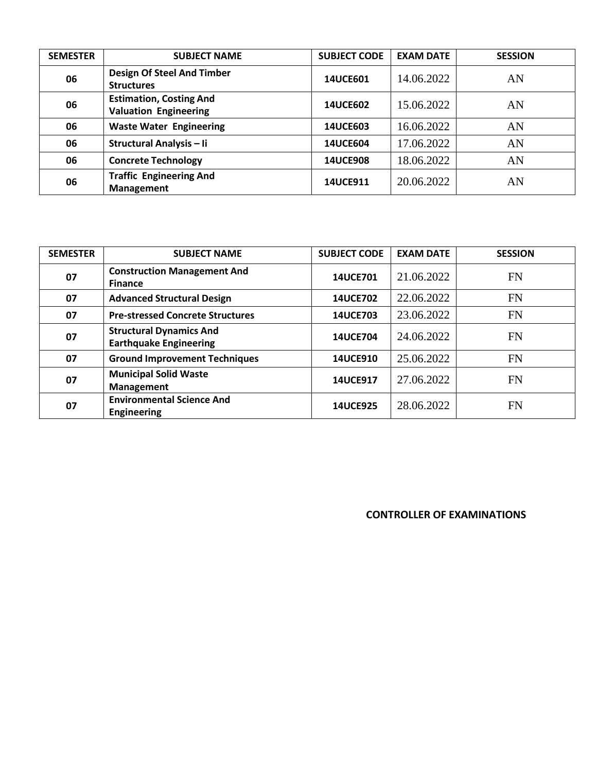| <b>SEMESTER</b> | <b>SUBJECT NAME</b>                                            | <b>SUBJECT CODE</b> | <b>EXAM DATE</b> | <b>SESSION</b> |
|-----------------|----------------------------------------------------------------|---------------------|------------------|----------------|
| 06              | <b>Design Of Steel And Timber</b><br><b>Structures</b>         | <b>14UCE601</b>     | 14.06.2022       | AN             |
| 06              | <b>Estimation, Costing And</b><br><b>Valuation Engineering</b> | <b>14UCE602</b>     | 15.06.2022       | AN             |
| 06              | <b>Waste Water Engineering</b>                                 | <b>14UCE603</b>     | 16.06.2022       | AN             |
| 06              | Structural Analysis - Ii                                       | <b>14UCE604</b>     | 17.06.2022       | AN             |
| 06              | <b>Concrete Technology</b>                                     | <b>14UCE908</b>     | 18.06.2022       | AN             |
| 06              | <b>Traffic Engineering And</b><br><b>Management</b>            | 14UCE911            | 20.06.2022       | AN             |

| <b>SEMESTER</b> | <b>SUBJECT NAME</b>                                             | <b>SUBJECT CODE</b> | <b>EXAM DATE</b> | <b>SESSION</b> |
|-----------------|-----------------------------------------------------------------|---------------------|------------------|----------------|
| 07              | <b>Construction Management And</b><br><b>Finance</b>            | <b>14UCE701</b>     | 21.06.2022       | <b>FN</b>      |
| 07              | <b>Advanced Structural Design</b>                               | <b>14UCE702</b>     | 22.06.2022       | <b>FN</b>      |
| 07              | <b>Pre-stressed Concrete Structures</b>                         | <b>14UCE703</b>     | 23.06.2022       | <b>FN</b>      |
| 07              | <b>Structural Dynamics And</b><br><b>Earthquake Engineering</b> | <b>14UCE704</b>     | 24.06.2022       | <b>FN</b>      |
| 07              | <b>Ground Improvement Techniques</b>                            | <b>14UCE910</b>     | 25.06.2022       | <b>FN</b>      |
| 07              | <b>Municipal Solid Waste</b><br><b>Management</b>               | 14UCE917            | 27.06.2022       | <b>FN</b>      |
| 07              | <b>Environmental Science And</b><br><b>Engineering</b>          | <b>14UCE925</b>     | 28.06.2022       | <b>FN</b>      |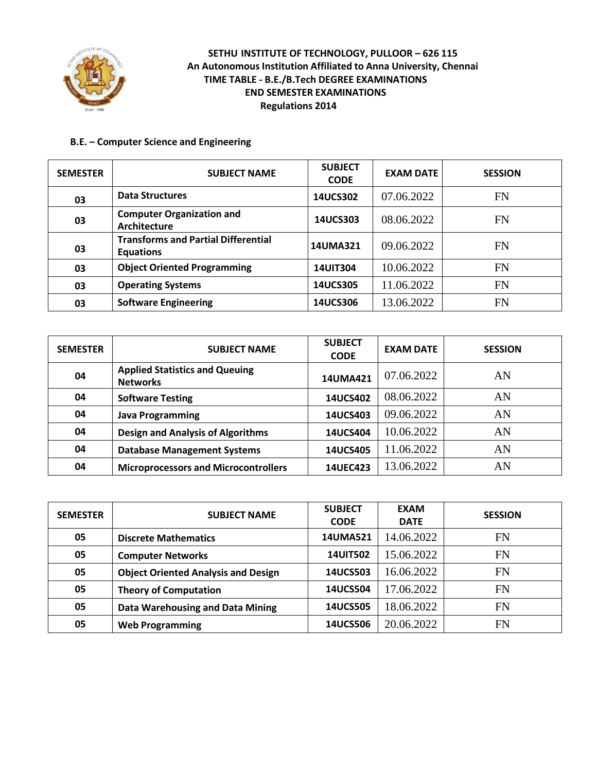

#### **B.E. – Computer Science and Engineering**

| <b>SEMESTER</b> | <b>SUBJECT NAME</b>                                            | <b>SUBJECT</b><br><b>CODE</b> | <b>EXAM DATE</b> | <b>SESSION</b> |
|-----------------|----------------------------------------------------------------|-------------------------------|------------------|----------------|
| 03              | <b>Data Structures</b>                                         | 14UCS302                      | 07.06.2022       | <b>FN</b>      |
| 03              | <b>Computer Organization and</b><br>Architecture               | 14UCS303                      | 08.06.2022       | <b>FN</b>      |
| 03              | <b>Transforms and Partial Differential</b><br><b>Equations</b> | <b>14UMA321</b>               | 09.06.2022       | <b>FN</b>      |
| 03              | <b>Object Oriented Programming</b>                             | <b>14UIT304</b>               | 10.06.2022       | <b>FN</b>      |
| 03              | <b>Operating Systems</b>                                       | 14UCS305                      | 11.06.2022       | <b>FN</b>      |
| 03              | <b>Software Engineering</b>                                    | 14UCS306                      | 13.06.2022       | <b>FN</b>      |

| <b>SEMESTER</b> | <b>SUBJECT NAME</b>                                      | <b>SUBJECT</b><br><b>CODE</b> | <b>EXAM DATE</b> | <b>SESSION</b> |
|-----------------|----------------------------------------------------------|-------------------------------|------------------|----------------|
| 04              | <b>Applied Statistics and Queuing</b><br><b>Networks</b> | 14UMA421                      | 07.06.2022       | AN             |
| 04              | <b>Software Testing</b>                                  | 14UCS402                      | 08.06.2022       | AN             |
| 04              | <b>Java Programming</b>                                  | 14UCS403                      | 09.06.2022       | AN             |
| 04              | <b>Design and Analysis of Algorithms</b>                 | 14UCS404                      | 10.06.2022       | AN             |
| 04              | <b>Database Management Systems</b>                       | 14UCS405                      | 11.06.2022       | AN             |
| 04              | <b>Microprocessors and Microcontrollers</b>              | 14UEC423                      | 13.06.2022       | AN             |

| <b>SEMESTER</b> | <b>SUBJECT NAME</b>                        | <b>SUBJECT</b><br><b>CODE</b> | <b>EXAM</b><br><b>DATE</b> | <b>SESSION</b> |
|-----------------|--------------------------------------------|-------------------------------|----------------------------|----------------|
| 05              | <b>Discrete Mathematics</b>                | <b>14UMA521</b>               | 14.06.2022                 | <b>FN</b>      |
| 05              | <b>Computer Networks</b>                   | <b>14UIT502</b>               | 15.06.2022                 | <b>FN</b>      |
| 05              | <b>Object Oriented Analysis and Design</b> | 14UCS503                      | 16.06.2022                 | <b>FN</b>      |
| 05              | <b>Theory of Computation</b>               | 14UCS504                      | 17.06.2022                 | <b>FN</b>      |
| 05              | Data Warehousing and Data Mining           | <b>14UCS505</b>               | 18.06.2022                 | <b>FN</b>      |
| 05              | <b>Web Programming</b>                     | <b>14UCS506</b>               | 20.06.2022                 | FN             |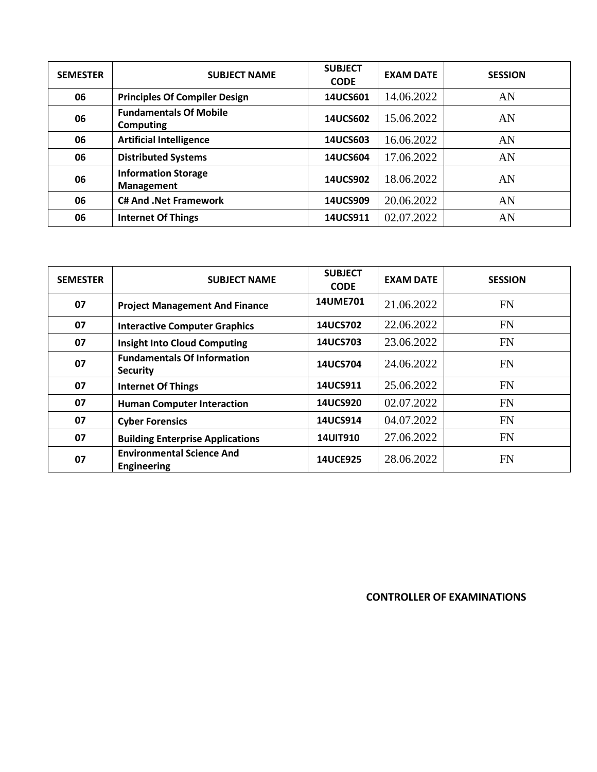| <b>SEMESTER</b> | <b>SUBJECT NAME</b>                               | <b>SUBJECT</b><br><b>CODE</b> | <b>EXAM DATE</b> | <b>SESSION</b> |
|-----------------|---------------------------------------------------|-------------------------------|------------------|----------------|
| 06              | <b>Principles Of Compiler Design</b>              | 14UCS601                      | 14.06.2022       | AN             |
| 06              | <b>Fundamentals Of Mobile</b><br><b>Computing</b> | 14UCS602                      | 15.06.2022       | AN             |
| 06              | <b>Artificial Intelligence</b>                    | 14UCS603                      | 16.06.2022       | AN             |
| 06              | <b>Distributed Systems</b>                        | 14UCS604                      | 17.06.2022       | AN             |
| 06              | <b>Information Storage</b><br>Management          | 14UCS902                      | 18.06.2022       | AN             |
| 06              | <b>C# And .Net Framework</b>                      | 14UCS909                      | 20.06.2022       | AN             |
| 06              | <b>Internet Of Things</b>                         | 14UCS911                      | 02.07.2022       | AN             |

| <b>SEMESTER</b> | <b>SUBJECT NAME</b>                                    | <b>SUBJECT</b><br><b>CODE</b> | <b>EXAM DATE</b> | <b>SESSION</b> |
|-----------------|--------------------------------------------------------|-------------------------------|------------------|----------------|
| 07              | <b>Project Management And Finance</b>                  | <b>14UME701</b>               | 21.06.2022       | <b>FN</b>      |
| 07              | <b>Interactive Computer Graphics</b>                   | 14UCS702                      | 22.06.2022       | <b>FN</b>      |
| 07              | <b>Insight Into Cloud Computing</b>                    | 14UCS703                      | 23.06.2022       | <b>FN</b>      |
| 07              | <b>Fundamentals Of Information</b><br><b>Security</b>  | 14UCS704                      | 24.06.2022       | FN             |
| 07              | <b>Internet Of Things</b>                              | 14UCS911                      | 25.06.2022       | <b>FN</b>      |
| 07              | <b>Human Computer Interaction</b>                      | 14UCS920                      | 02.07.2022       | <b>FN</b>      |
| 07              | <b>Cyber Forensics</b>                                 | 14UCS914                      | 04.07.2022       | <b>FN</b>      |
| 07              | <b>Building Enterprise Applications</b>                | <b>14UIT910</b>               | 27.06.2022       | <b>FN</b>      |
| 07              | <b>Environmental Science And</b><br><b>Engineering</b> | <b>14UCE925</b>               | 28.06.2022       | <b>FN</b>      |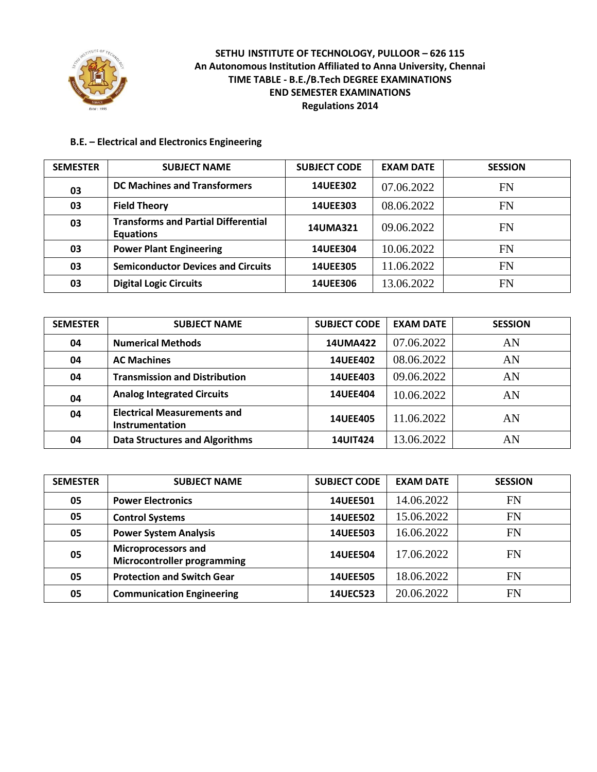

#### **B.E. – Electrical and Electronics Engineering**

| <b>SEMESTER</b> | <b>SUBJECT NAME</b>                                            | <b>SUBJECT CODE</b> | <b>EXAM DATE</b> | <b>SESSION</b> |
|-----------------|----------------------------------------------------------------|---------------------|------------------|----------------|
| 03              | <b>DC Machines and Transformers</b>                            | <b>14UEE302</b>     | 07.06.2022       | FN             |
| 03              | <b>Field Theory</b>                                            | <b>14UEE303</b>     | 08.06.2022       | <b>FN</b>      |
| 03              | <b>Transforms and Partial Differential</b><br><b>Equations</b> | <b>14UMA321</b>     | 09.06.2022       | <b>FN</b>      |
| 03              | <b>Power Plant Engineering</b>                                 | <b>14UEE304</b>     | 10.06.2022       | FN             |
| 03              | <b>Semiconductor Devices and Circuits</b>                      | <b>14UEE305</b>     | 11.06.2022       | <b>FN</b>      |
| 03              | <b>Digital Logic Circuits</b>                                  | <b>14UEE306</b>     | 13.06.2022       | FN             |

| <b>SEMESTER</b> | <b>SUBJECT NAME</b>                                   | <b>SUBJECT CODE</b> | <b>EXAM DATE</b> | <b>SESSION</b> |
|-----------------|-------------------------------------------------------|---------------------|------------------|----------------|
| 04              | <b>Numerical Methods</b>                              | <b>14UMA422</b>     | 07.06.2022       | AN             |
| 04              | <b>AC Machines</b>                                    | <b>14UEE402</b>     | 08.06.2022       | AN             |
| 04              | <b>Transmission and Distribution</b>                  | 14UEE403            | 09.06.2022       | AN             |
| 04              | <b>Analog Integrated Circuits</b>                     | <b>14UEE404</b>     | 10.06.2022       | AN             |
| 04              | <b>Electrical Measurements and</b><br>Instrumentation | <b>14UEE405</b>     | 11.06.2022       | AN             |
| 04              | <b>Data Structures and Algorithms</b>                 | <b>14UIT424</b>     | 13.06.2022       | AN             |

| <b>SEMESTER</b> | <b>SUBJECT NAME</b>                                              | <b>SUBJECT CODE</b> | <b>EXAM DATE</b> | <b>SESSION</b> |
|-----------------|------------------------------------------------------------------|---------------------|------------------|----------------|
| 05              | <b>Power Electronics</b>                                         | <b>14UEE501</b>     | 14.06.2022       | <b>FN</b>      |
| 05              | <b>Control Systems</b>                                           | <b>14UEE502</b>     | 15.06.2022       | <b>FN</b>      |
| 05              | <b>Power System Analysis</b>                                     | 14UEE503            | 16.06.2022       | <b>FN</b>      |
| 05              | <b>Microprocessors and</b><br><b>Microcontroller programming</b> | <b>14UEE504</b>     | 17.06.2022       | FN             |
| 05              | <b>Protection and Switch Gear</b>                                | <b>14UEE505</b>     | 18.06.2022       | FN             |
| 05              | <b>Communication Engineering</b>                                 | 14UEC523            | 20.06.2022       | <b>FN</b>      |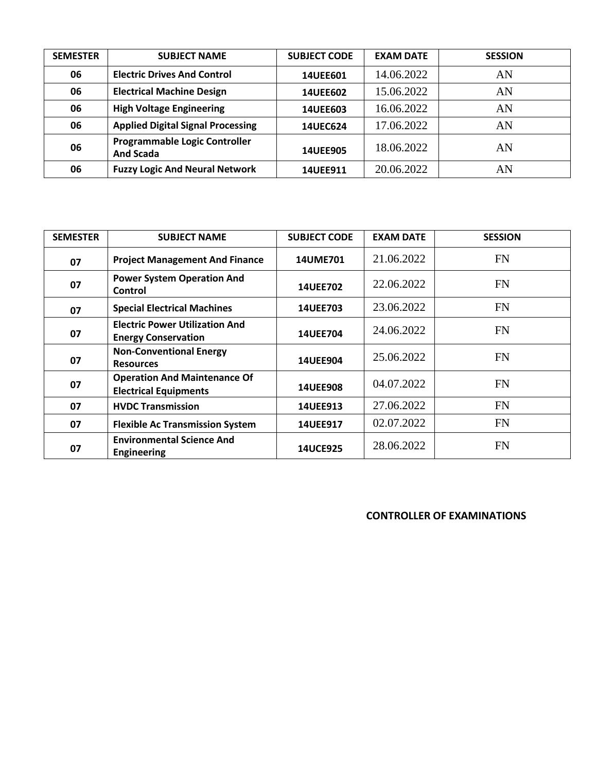| <b>SEMESTER</b> | <b>SUBJECT NAME</b>                                      | <b>SUBJECT CODE</b> | <b>EXAM DATE</b> | <b>SESSION</b> |
|-----------------|----------------------------------------------------------|---------------------|------------------|----------------|
| 06              | <b>Electric Drives And Control</b>                       | 14UEE601            | 14.06.2022       | AN             |
| 06              | <b>Electrical Machine Design</b>                         | <b>14UEE602</b>     | 15.06.2022       | AN             |
| 06              | <b>High Voltage Engineering</b>                          | <b>14UEE603</b>     | 16.06.2022       | AN             |
| 06              | <b>Applied Digital Signal Processing</b>                 | <b>14UEC624</b>     | 17.06.2022       | AN             |
| 06              | <b>Programmable Logic Controller</b><br><b>And Scada</b> | <b>14UEE905</b>     | 18.06.2022       | AN             |
| 06              | <b>Fuzzy Logic And Neural Network</b>                    | 14UEE911            | 20.06.2022       | AN             |

| <b>SEMESTER</b> | <b>SUBJECT NAME</b>                                                 | <b>SUBJECT CODE</b> | <b>EXAM DATE</b> | <b>SESSION</b> |
|-----------------|---------------------------------------------------------------------|---------------------|------------------|----------------|
| 07              | <b>Project Management And Finance</b>                               | <b>14UME701</b>     | 21.06.2022       | <b>FN</b>      |
| 07              | <b>Power System Operation And</b><br>Control                        | <b>14UEE702</b>     | 22.06.2022       | <b>FN</b>      |
| 07              | <b>Special Electrical Machines</b>                                  | <b>14UEE703</b>     | 23.06.2022       | <b>FN</b>      |
| 07              | <b>Electric Power Utilization And</b><br><b>Energy Conservation</b> | <b>14UEE704</b>     | 24.06.2022       | <b>FN</b>      |
| 07              | <b>Non-Conventional Energy</b><br><b>Resources</b>                  | 14UEE904            | 25.06.2022       | <b>FN</b>      |
| 07              | <b>Operation And Maintenance Of</b><br><b>Electrical Equipments</b> | <b>14UEE908</b>     | 04.07.2022       | FN             |
| 07              | <b>HVDC Transmission</b>                                            | 14UEE913            | 27.06.2022       | <b>FN</b>      |
| 07              | <b>Flexible Ac Transmission System</b>                              | <b>14UEE917</b>     | 02.07.2022       | <b>FN</b>      |
| 07              | <b>Environmental Science And</b><br><b>Engineering</b>              | <b>14UCE925</b>     | 28.06.2022       | FN             |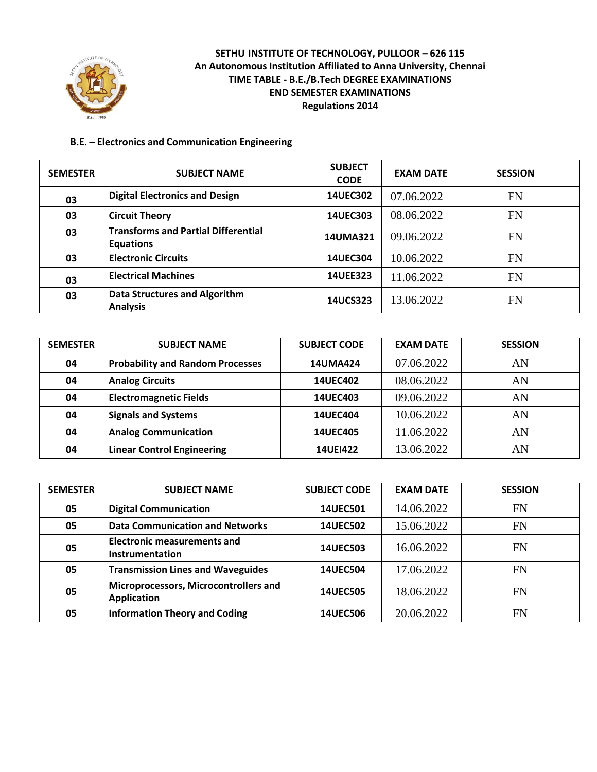

#### **B.E. – Electronics and Communication Engineering**

| <b>SEMESTER</b> | <b>SUBJECT NAME</b>                                            | <b>SUBJECT</b><br><b>CODE</b> | <b>EXAM DATE</b> | <b>SESSION</b> |
|-----------------|----------------------------------------------------------------|-------------------------------|------------------|----------------|
| 03              | <b>Digital Electronics and Design</b>                          | <b>14UEC302</b>               | 07.06.2022       | FN             |
| 03              | <b>Circuit Theory</b>                                          | 14UEC303                      | 08.06.2022       | FN             |
| 03              | <b>Transforms and Partial Differential</b><br><b>Equations</b> | 14UMA321                      | 09.06.2022       | <b>FN</b>      |
| 03              | <b>Electronic Circuits</b>                                     | 14UEC304                      | 10.06.2022       | FN             |
| 03              | <b>Electrical Machines</b>                                     | 14UEE323                      | 11.06.2022       | <b>FN</b>      |
| 03              | <b>Data Structures and Algorithm</b><br><b>Analysis</b>        | 14UCS323                      | 13.06.2022       | FN             |

| <b>SEMESTER</b> | <b>SUBJECT NAME</b>                     | <b>SUBJECT CODE</b> | <b>EXAM DATE</b> | <b>SESSION</b> |
|-----------------|-----------------------------------------|---------------------|------------------|----------------|
| 04              | <b>Probability and Random Processes</b> | <b>14UMA424</b>     | 07.06.2022       | AN             |
| 04              | <b>Analog Circuits</b>                  | <b>14UEC402</b>     | 08.06.2022       | AN             |
| 04              | <b>Electromagnetic Fields</b>           | <b>14UEC403</b>     | 09.06.2022       | AN             |
| 04              | <b>Signals and Systems</b>              | <b>14UEC404</b>     | 10.06.2022       | AN             |
| 04              | <b>Analog Communication</b>             | <b>14UEC405</b>     | 11.06.2022       | AN             |
| 04              | <b>Linear Control Engineering</b>       | <b>14UEI422</b>     | 13.06.2022       | AN             |

| <b>SEMESTER</b> | <b>SUBJECT NAME</b>                                         | <b>SUBJECT CODE</b> | <b>EXAM DATE</b> | <b>SESSION</b> |
|-----------------|-------------------------------------------------------------|---------------------|------------------|----------------|
| 05              | <b>Digital Communication</b>                                | 14UEC501            | 14.06.2022       | FN             |
| 05              | <b>Data Communication and Networks</b>                      | <b>14UEC502</b>     | 15.06.2022       | <b>FN</b>      |
| 05              | <b>Electronic measurements and</b><br>Instrumentation       | 14UEC503            | 16.06.2022       | FN             |
| 05              | <b>Transmission Lines and Waveguides</b>                    | <b>14UEC504</b>     | 17.06.2022       | FN             |
| 05              | Microprocessors, Microcontrollers and<br><b>Application</b> | <b>14UEC505</b>     | 18.06.2022       | FN             |
| 05              | <b>Information Theory and Coding</b>                        | <b>14UEC506</b>     | 20.06.2022       | FN             |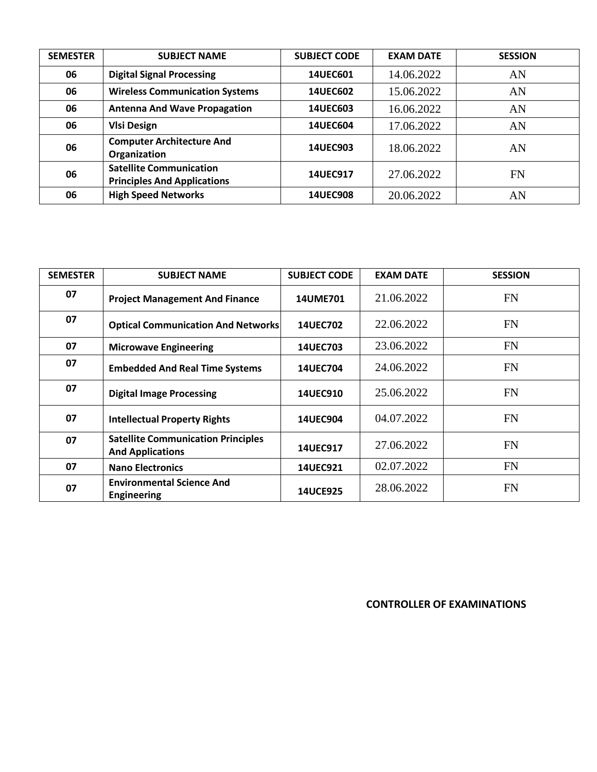| <b>SEMESTER</b> | <b>SUBJECT NAME</b>                                                  | <b>SUBJECT CODE</b> | <b>EXAM DATE</b> | <b>SESSION</b> |
|-----------------|----------------------------------------------------------------------|---------------------|------------------|----------------|
| 06              | <b>Digital Signal Processing</b>                                     | 14UEC601            | 14.06.2022       | AN             |
| 06              | <b>Wireless Communication Systems</b>                                | <b>14UEC602</b>     | 15.06.2022       | AN             |
| 06              | <b>Antenna And Wave Propagation</b>                                  | <b>14UEC603</b>     | 16.06.2022       | AN             |
| 06              | <b>VIsi Design</b>                                                   | <b>14UEC604</b>     | 17.06.2022       | AN             |
| 06              | <b>Computer Architecture And</b><br>Organization                     | 14UEC903            | 18.06.2022       | AN             |
| 06              | <b>Satellite Communication</b><br><b>Principles And Applications</b> | 14UEC917            | 27.06.2022       | <b>FN</b>      |
| 06              | <b>High Speed Networks</b>                                           | <b>14UEC908</b>     | 20.06.2022       | AN             |

| <b>SEMESTER</b> | <b>SUBJECT NAME</b>                                                  | <b>SUBJECT CODE</b> | <b>EXAM DATE</b> | <b>SESSION</b> |
|-----------------|----------------------------------------------------------------------|---------------------|------------------|----------------|
| 07              | <b>Project Management And Finance</b>                                | <b>14UME701</b>     | 21.06.2022       | <b>FN</b>      |
| 07              | <b>Optical Communication And Networks</b>                            | <b>14UEC702</b>     | 22.06.2022       | <b>FN</b>      |
| 07              | <b>Microwave Engineering</b>                                         | 14UEC703            | 23.06.2022       | <b>FN</b>      |
| 07              | <b>Embedded And Real Time Systems</b>                                | <b>14UEC704</b>     | 24.06.2022       | <b>FN</b>      |
| 07              | <b>Digital Image Processing</b>                                      | <b>14UEC910</b>     | 25.06.2022       | <b>FN</b>      |
| 07              | <b>Intellectual Property Rights</b>                                  | <b>14UEC904</b>     | 04.07.2022       | FN             |
| 07              | <b>Satellite Communication Principles</b><br><b>And Applications</b> | 14UEC917            | 27.06.2022       | <b>FN</b>      |
| 07              | <b>Nano Electronics</b>                                              | 14UEC921            | 02.07.2022       | <b>FN</b>      |
| 07              | <b>Environmental Science And</b><br><b>Engineering</b>               | <b>14UCE925</b>     | 28.06.2022       | <b>FN</b>      |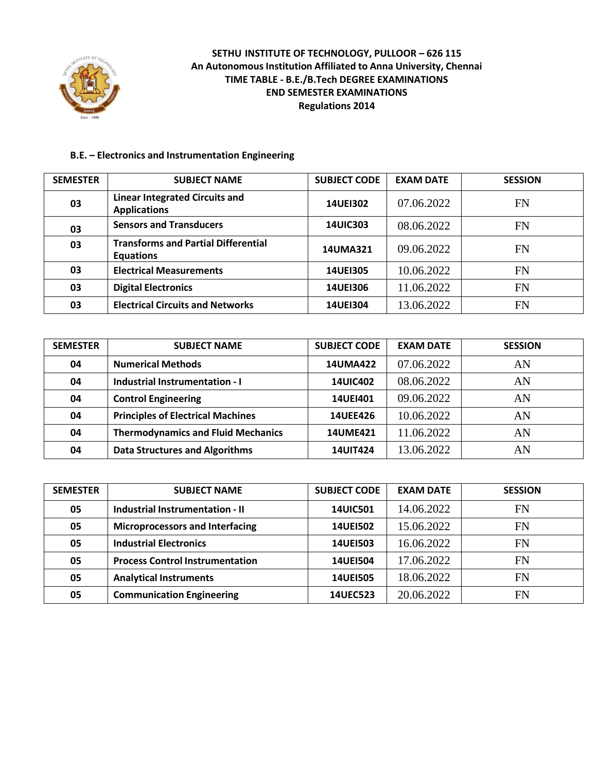

## **B.E. – Electronics and Instrumentation Engineering**

| <b>SEMESTER</b> | <b>SUBJECT NAME</b>                                            | <b>SUBJECT CODE</b> | <b>EXAM DATE</b> | <b>SESSION</b> |
|-----------------|----------------------------------------------------------------|---------------------|------------------|----------------|
| 03              | <b>Linear Integrated Circuits and</b><br><b>Applications</b>   | <b>14UEI302</b>     | 07.06.2022       | FN             |
| 03              | <b>Sensors and Transducers</b>                                 | <b>14UIC303</b>     | 08.06.2022       | FN             |
| 03              | <b>Transforms and Partial Differential</b><br><b>Equations</b> | <b>14UMA321</b>     | 09.06.2022       | FN             |
| 03              | <b>Electrical Measurements</b>                                 | <b>14UEI305</b>     | 10.06.2022       | FN             |
| 03              | <b>Digital Electronics</b>                                     | <b>14UEI306</b>     | 11.06.2022       | <b>FN</b>      |
| 03              | <b>Electrical Circuits and Networks</b>                        | 14UE1304            | 13.06.2022       | FN             |

| <b>SEMESTER</b> | <b>SUBJECT NAME</b>                       | <b>SUBJECT CODE</b> | <b>EXAM DATE</b> | <b>SESSION</b> |
|-----------------|-------------------------------------------|---------------------|------------------|----------------|
| 04              | <b>Numerical Methods</b>                  | <b>14UMA422</b>     | 07.06.2022       | AN             |
| 04              | Industrial Instrumentation - I            | <b>14UIC402</b>     | 08.06.2022       | AN             |
| 04              | <b>Control Engineering</b>                | <b>14UEI401</b>     | 09.06.2022       | AN             |
| 04              | <b>Principles of Electrical Machines</b>  | <b>14UEE426</b>     | 10.06.2022       | AN             |
| 04              | <b>Thermodynamics and Fluid Mechanics</b> | <b>14UME421</b>     | 11.06.2022       | AN             |
| 04              | <b>Data Structures and Algorithms</b>     | <b>14UIT424</b>     | 13.06.2022       | AN             |

| <b>SEMESTER</b> | <b>SUBJECT NAME</b>                    | <b>SUBJECT CODE</b> | <b>EXAM DATE</b> | <b>SESSION</b> |
|-----------------|----------------------------------------|---------------------|------------------|----------------|
| 05              | <b>Industrial Instrumentation - II</b> | <b>14UIC501</b>     | 14.06.2022       | FN             |
| 05              | <b>Microprocessors and Interfacing</b> | <b>14UEI502</b>     | 15.06.2022       | <b>FN</b>      |
| 05              | <b>Industrial Electronics</b>          | <b>14UEI503</b>     | 16.06.2022       | FN             |
| 05              | <b>Process Control Instrumentation</b> | <b>14UEI504</b>     | 17.06.2022       | <b>FN</b>      |
| 05              | <b>Analytical Instruments</b>          | <b>14UEI505</b>     | 18.06.2022       | FN             |
| 05              | <b>Communication Engineering</b>       | <b>14UEC523</b>     | 20.06.2022       | FN             |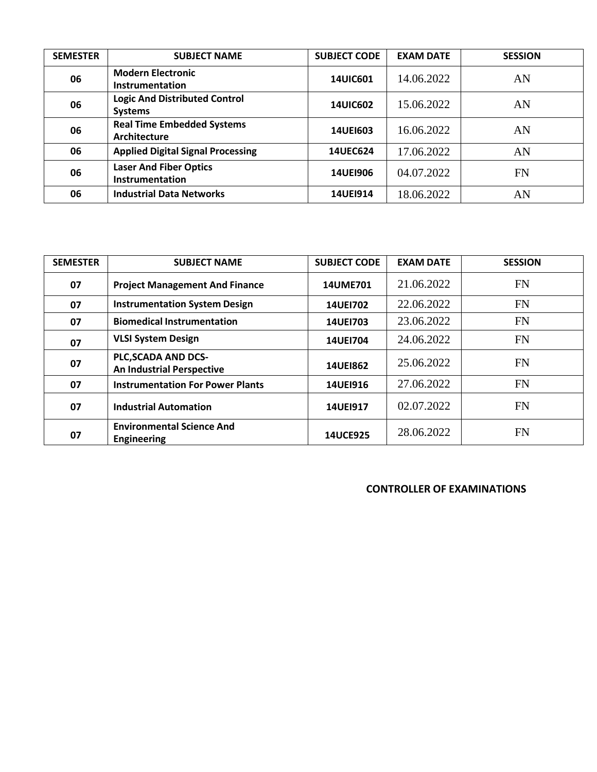| <b>SEMESTER</b> | <b>SUBJECT NAME</b>                                      | <b>SUBJECT CODE</b> | <b>EXAM DATE</b> | <b>SESSION</b> |
|-----------------|----------------------------------------------------------|---------------------|------------------|----------------|
| 06              | <b>Modern Electronic</b><br>Instrumentation              | <b>14UIC601</b>     | 14.06.2022       | AN             |
| 06              | <b>Logic And Distributed Control</b><br><b>Systems</b>   | <b>14UIC602</b>     | 15.06.2022       | AN             |
| 06              | <b>Real Time Embedded Systems</b><br><b>Architecture</b> | <b>14UEI603</b>     | 16.06.2022       | AN             |
| 06              | <b>Applied Digital Signal Processing</b>                 | 14UEC624            | 17.06.2022       | AN             |
| 06              | <b>Laser And Fiber Optics</b><br>Instrumentation         | <b>14UE1906</b>     | 04.07.2022       | <b>FN</b>      |
| 06              | <b>Industrial Data Networks</b>                          | 14UE1914            | 18.06.2022       | AN             |

| <b>SEMESTER</b> | <b>SUBJECT NAME</b>                                     | <b>SUBJECT CODE</b> | <b>EXAM DATE</b> | <b>SESSION</b> |
|-----------------|---------------------------------------------------------|---------------------|------------------|----------------|
| 07              | <b>Project Management And Finance</b>                   | 14UME701            | 21.06.2022       | FN             |
| 07              | <b>Instrumentation System Design</b>                    | <b>14UEI702</b>     | 22.06.2022       | <b>FN</b>      |
| 07              | <b>Biomedical Instrumentation</b>                       | 14UE1703            | 23.06.2022       | <b>FN</b>      |
| 07              | <b>VLSI System Design</b>                               | 14UE1704            | 24.06.2022       | FN             |
| 07              | PLC, SCADA AND DCS-<br><b>An Industrial Perspective</b> | <b>14UE1862</b>     | 25.06.2022       | <b>FN</b>      |
| 07              | <b>Instrumentation For Power Plants</b>                 | 14UE1916            | 27.06.2022       | <b>FN</b>      |
| 07              | <b>Industrial Automation</b>                            | 14UE1917            | 02.07.2022       | FN             |
| 07              | <b>Environmental Science And</b><br><b>Engineering</b>  | <b>14UCE925</b>     | 28.06.2022       | <b>FN</b>      |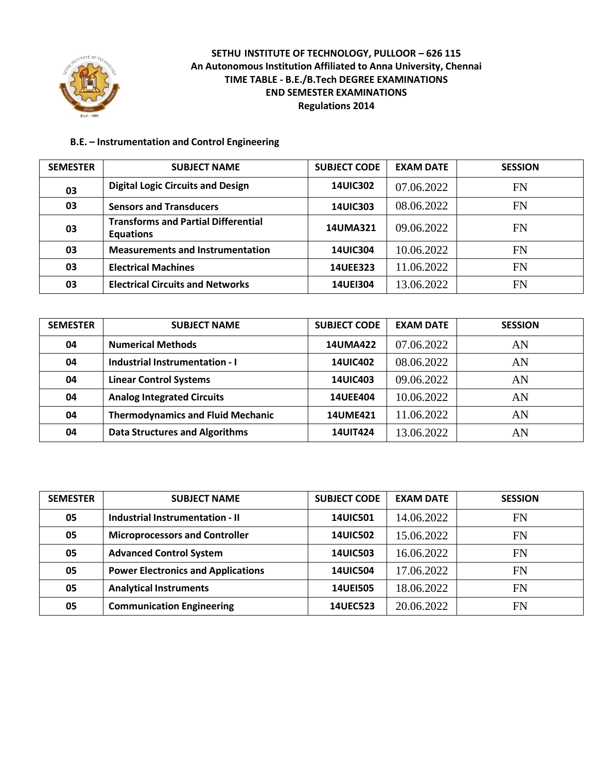

#### **B.E. – Instrumentation and Control Engineering**

| <b>SEMESTER</b> | <b>SUBJECT NAME</b>                                            | <b>SUBJECT CODE</b> | <b>EXAM DATE</b> | <b>SESSION</b> |
|-----------------|----------------------------------------------------------------|---------------------|------------------|----------------|
| 03              | <b>Digital Logic Circuits and Design</b>                       | <b>14UIC302</b>     | 07.06.2022       | <b>FN</b>      |
| 03              | <b>Sensors and Transducers</b>                                 | <b>14UIC303</b>     | 08.06.2022       | <b>FN</b>      |
| 03              | <b>Transforms and Partial Differential</b><br><b>Equations</b> | 14UMA321            | 09.06.2022       | <b>FN</b>      |
| 03              | <b>Measurements and Instrumentation</b>                        | <b>14UIC304</b>     | 10.06.2022       | <b>FN</b>      |
| 03              | <b>Electrical Machines</b>                                     | <b>14UEE323</b>     | 11.06.2022       | FN             |
| 03              | <b>Electrical Circuits and Networks</b>                        | <b>14UEI304</b>     | 13.06.2022       | <b>FN</b>      |

| <b>SEMESTER</b> | <b>SUBJECT NAME</b>                      | <b>SUBJECT CODE</b> | <b>EXAM DATE</b> | <b>SESSION</b> |
|-----------------|------------------------------------------|---------------------|------------------|----------------|
| 04              | <b>Numerical Methods</b>                 | <b>14UMA422</b>     | 07.06.2022       | AN             |
| 04              | Industrial Instrumentation - I           | <b>14UIC402</b>     | 08.06.2022       | AN             |
| 04              | <b>Linear Control Systems</b>            | <b>14UIC403</b>     | 09.06.2022       | AN             |
| 04              | <b>Analog Integrated Circuits</b>        | <b>14UEE404</b>     | 10.06.2022       | AN             |
| 04              | <b>Thermodynamics and Fluid Mechanic</b> | <b>14UME421</b>     | 11.06.2022       | AN             |
| 04              | <b>Data Structures and Algorithms</b>    | <b>14UIT424</b>     | 13.06.2022       | AN             |

| <b>SEMESTER</b> | <b>SUBJECT NAME</b>                       | <b>SUBJECT CODE</b> | <b>EXAM DATE</b> | <b>SESSION</b> |
|-----------------|-------------------------------------------|---------------------|------------------|----------------|
| 05              | Industrial Instrumentation - II           | <b>14UIC501</b>     | 14.06.2022       | FN             |
| 05              | <b>Microprocessors and Controller</b>     | <b>14UIC502</b>     | 15.06.2022       | <b>FN</b>      |
| 05              | <b>Advanced Control System</b>            | <b>14UIC503</b>     | 16.06.2022       | FN             |
| 05              | <b>Power Electronics and Applications</b> | <b>14UIC504</b>     | 17.06.2022       | <b>FN</b>      |
| 05              | <b>Analytical Instruments</b>             | <b>14UEI505</b>     | 18.06.2022       | FN             |
| 05              | <b>Communication Engineering</b>          | <b>14UEC523</b>     | 20.06.2022       | <b>FN</b>      |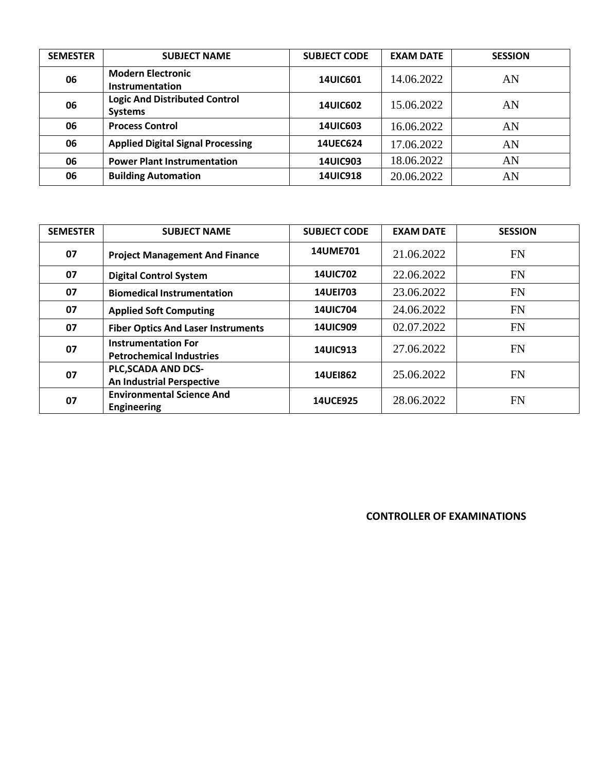| <b>SEMESTER</b> | <b>SUBJECT NAME</b>                                    | <b>SUBJECT CODE</b> | <b>EXAM DATE</b> | <b>SESSION</b> |
|-----------------|--------------------------------------------------------|---------------------|------------------|----------------|
| 06              | <b>Modern Electronic</b><br>Instrumentation            | <b>14UIC601</b>     | 14.06.2022       | AN             |
| 06              | <b>Logic And Distributed Control</b><br><b>Systems</b> | <b>14UIC602</b>     | 15.06.2022       | AN             |
| 06              | <b>Process Control</b>                                 | <b>14UIC603</b>     | 16.06.2022       | AN             |
| 06              | <b>Applied Digital Signal Processing</b>               | <b>14UEC624</b>     | 17.06.2022       | AN             |
| 06              | <b>Power Plant Instrumentation</b>                     | <b>14UIC903</b>     | 18.06.2022       | AN             |
| 06              | <b>Building Automation</b>                             | <b>14UIC918</b>     | 20.06.2022       | AN             |

| <b>SEMESTER</b> | <b>SUBJECT NAME</b>                                           | <b>SUBJECT CODE</b> | <b>EXAM DATE</b> | <b>SESSION</b> |
|-----------------|---------------------------------------------------------------|---------------------|------------------|----------------|
| 07              | <b>Project Management And Finance</b>                         | 14UME701            | 21.06.2022       | <b>FN</b>      |
| 07              | <b>Digital Control System</b>                                 | <b>14UIC702</b>     | 22.06.2022       | <b>FN</b>      |
| 07              | <b>Biomedical Instrumentation</b>                             | 14UE1703            | 23.06.2022       | <b>FN</b>      |
| 07              | <b>Applied Soft Computing</b>                                 | <b>14UIC704</b>     | 24.06.2022       | <b>FN</b>      |
| 07              | <b>Fiber Optics And Laser Instruments</b>                     | <b>14UIC909</b>     | 02.07.2022       | <b>FN</b>      |
| 07              | <b>Instrumentation For</b><br><b>Petrochemical Industries</b> | <b>14UIC913</b>     | 27.06.2022       | FN             |
| 07              | PLC, SCADA AND DCS-<br><b>An Industrial Perspective</b>       | <b>14UEI862</b>     | 25.06.2022       | FN             |
| 07              | <b>Environmental Science And</b><br><b>Engineering</b>        | <b>14UCE925</b>     | 28.06.2022       | <b>FN</b>      |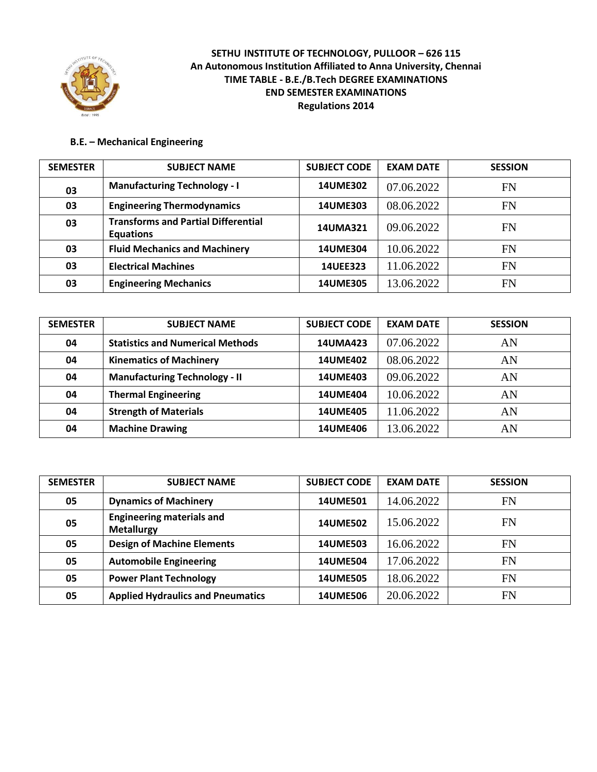

#### **B.E. – Mechanical Engineering**

| <b>SEMESTER</b> | <b>SUBJECT NAME</b>                                            | <b>SUBJECT CODE</b> | <b>EXAM DATE</b> | <b>SESSION</b> |
|-----------------|----------------------------------------------------------------|---------------------|------------------|----------------|
| 03              | <b>Manufacturing Technology - I</b>                            | <b>14UME302</b>     | 07.06.2022       | FN             |
| 03              | <b>Engineering Thermodynamics</b>                              | <b>14UME303</b>     | 08.06.2022       | FN             |
| 03              | <b>Transforms and Partial Differential</b><br><b>Equations</b> | 14UMA321            | 09.06.2022       | FN             |
| 03              | <b>Fluid Mechanics and Machinery</b>                           | <b>14UME304</b>     | 10.06.2022       | FN             |
| 03              | <b>Electrical Machines</b>                                     | 14UEE323            | 11.06.2022       | FN             |
| 03              | <b>Engineering Mechanics</b>                                   | <b>14UME305</b>     | 13.06.2022       | FN             |

| <b>SEMESTER</b> | <b>SUBJECT NAME</b>                     | <b>SUBJECT CODE</b> | <b>EXAM DATE</b> | <b>SESSION</b> |
|-----------------|-----------------------------------------|---------------------|------------------|----------------|
| 04              | <b>Statistics and Numerical Methods</b> | <b>14UMA423</b>     | 07.06.2022       | AN             |
| 04              | <b>Kinematics of Machinery</b>          | <b>14UME402</b>     | 08.06.2022       | AN             |
| 04              | <b>Manufacturing Technology - II</b>    | 14UME403            | 09.06.2022       | AN             |
| 04              | <b>Thermal Engineering</b>              | <b>14UME404</b>     | 10.06.2022       | AN             |
| 04              | <b>Strength of Materials</b>            | <b>14UME405</b>     | 11.06.2022       | AN             |
| 04              | <b>Machine Drawing</b>                  | <b>14UME406</b>     | 13.06.2022       | AN             |

| <b>SEMESTER</b> | <b>SUBJECT NAME</b>                                   | <b>SUBJECT CODE</b> | <b>EXAM DATE</b> | <b>SESSION</b> |
|-----------------|-------------------------------------------------------|---------------------|------------------|----------------|
| 05              | <b>Dynamics of Machinery</b>                          | <b>14UME501</b>     | 14.06.2022       | FN             |
| 05              | <b>Engineering materials and</b><br><b>Metallurgy</b> | <b>14UME502</b>     | 15.06.2022       | <b>FN</b>      |
| 05              | <b>Design of Machine Elements</b>                     | <b>14UME503</b>     | 16.06.2022       | <b>FN</b>      |
| 05              | <b>Automobile Engineering</b>                         | <b>14UME504</b>     | 17.06.2022       | <b>FN</b>      |
| 05              | <b>Power Plant Technology</b>                         | <b>14UME505</b>     | 18.06.2022       | <b>FN</b>      |
| 05              | <b>Applied Hydraulics and Pneumatics</b>              | <b>14UME506</b>     | 20.06.2022       | <b>FN</b>      |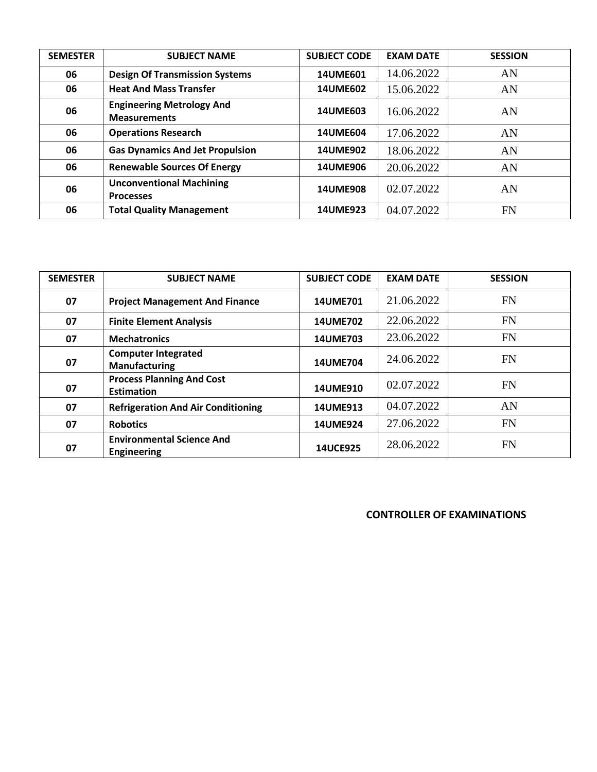| <b>SEMESTER</b> | <b>SUBJECT NAME</b>                                     | <b>SUBJECT CODE</b> | <b>EXAM DATE</b> | <b>SESSION</b> |
|-----------------|---------------------------------------------------------|---------------------|------------------|----------------|
| 06              | <b>Design Of Transmission Systems</b>                   | 14UME601            | 14.06.2022       | AN             |
| 06              | <b>Heat And Mass Transfer</b>                           | <b>14UME602</b>     | 15.06.2022       | AN             |
| 06              | <b>Engineering Metrology And</b><br><b>Measurements</b> | <b>14UME603</b>     | 16.06.2022       | AN             |
| 06              | <b>Operations Research</b>                              | <b>14UME604</b>     | 17.06.2022       | AN             |
| 06              | <b>Gas Dynamics And Jet Propulsion</b>                  | 14UME902            | 18.06.2022       | AN             |
| 06              | <b>Renewable Sources Of Energy</b>                      | <b>14UME906</b>     | 20.06.2022       | AN             |
| 06              | <b>Unconventional Machining</b><br><b>Processes</b>     | <b>14UME908</b>     | 02.07.2022       | AN             |
| 06              | <b>Total Quality Management</b>                         | 14UME923            | 04.07.2022       | FN             |

| <b>SEMESTER</b> | <b>SUBJECT NAME</b>                                    | <b>SUBJECT CODE</b> | <b>EXAM DATE</b> | <b>SESSION</b> |
|-----------------|--------------------------------------------------------|---------------------|------------------|----------------|
| 07              | <b>Project Management And Finance</b>                  | 14UME701            | 21.06.2022       | <b>FN</b>      |
| 07              | <b>Finite Element Analysis</b>                         | <b>14UME702</b>     | 22.06.2022       | <b>FN</b>      |
| 07              | <b>Mechatronics</b>                                    | 14UME703            | 23.06.2022       | <b>FN</b>      |
| 07              | <b>Computer Integrated</b><br><b>Manufacturing</b>     | <b>14UME704</b>     | 24.06.2022       | <b>FN</b>      |
| 07              | <b>Process Planning And Cost</b><br><b>Estimation</b>  | 14UME910            | 02.07.2022       | <b>FN</b>      |
| 07              | <b>Refrigeration And Air Conditioning</b>              | 14UME913            | 04.07.2022       | AN             |
| 07              | <b>Robotics</b>                                        | 14UME924            | 27.06.2022       | <b>FN</b>      |
| 07              | <b>Environmental Science And</b><br><b>Engineering</b> | 14UCE925            | 28.06.2022       | FN             |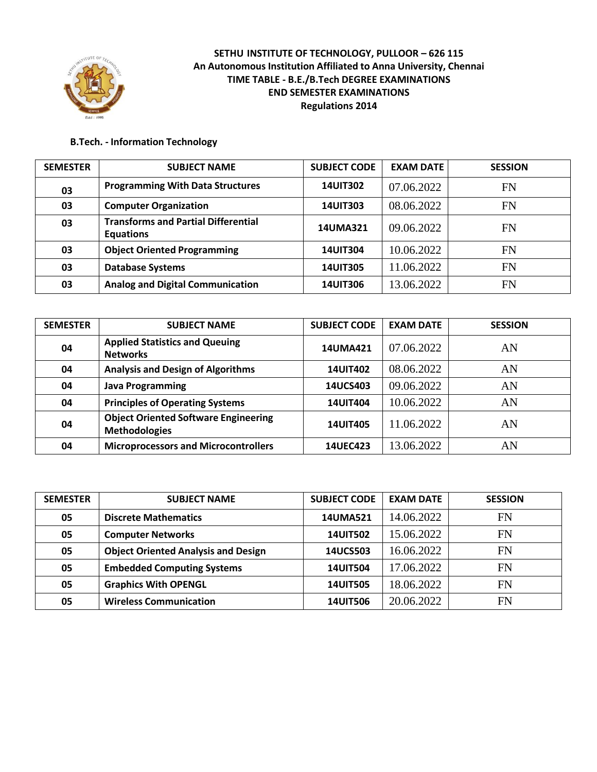

#### **B.Tech. - Information Technology**

| <b>SEMESTER</b> | <b>SUBJECT NAME</b>                                            | <b>SUBJECT CODE</b> | <b>EXAM DATE</b> | <b>SESSION</b> |
|-----------------|----------------------------------------------------------------|---------------------|------------------|----------------|
| 03              | <b>Programming With Data Structures</b>                        | <b>14UIT302</b>     | 07.06.2022       | <b>FN</b>      |
| 03              | <b>Computer Organization</b>                                   | <b>14UIT303</b>     | 08.06.2022       | <b>FN</b>      |
| 03              | <b>Transforms and Partial Differential</b><br><b>Equations</b> | 14UMA321            | 09.06.2022       | <b>FN</b>      |
| 03              | <b>Object Oriented Programming</b>                             | <b>14UIT304</b>     | 10.06.2022       | <b>FN</b>      |
| 03              | <b>Database Systems</b>                                        | <b>14UIT305</b>     | 11.06.2022       | <b>FN</b>      |
| 03              | <b>Analog and Digital Communication</b>                        | <b>14UIT306</b>     | 13.06.2022       | FN             |

| <b>SEMESTER</b> | <b>SUBJECT NAME</b>                                                 | <b>SUBJECT CODE</b> | <b>EXAM DATE</b> | <b>SESSION</b> |
|-----------------|---------------------------------------------------------------------|---------------------|------------------|----------------|
| 04              | <b>Applied Statistics and Queuing</b><br><b>Networks</b>            | 14UMA421            | 07.06.2022       | AN             |
| 04              | <b>Analysis and Design of Algorithms</b>                            | <b>14UIT402</b>     | 08.06.2022       | AN             |
| 04              | <b>Java Programming</b>                                             | 14UCS403            | 09.06.2022       | AN             |
| 04              | <b>Principles of Operating Systems</b>                              | <b>14UIT404</b>     | 10.06.2022       | AN             |
| 04              | <b>Object Oriented Software Engineering</b><br><b>Methodologies</b> | <b>14UIT405</b>     | 11.06.2022       | AN             |
| 04              | <b>Microprocessors and Microcontrollers</b>                         | 14UEC423            | 13.06.2022       | AN             |

| <b>SEMESTER</b> | <b>SUBJECT NAME</b>                        | <b>SUBJECT CODE</b> | <b>EXAM DATE</b> | <b>SESSION</b> |
|-----------------|--------------------------------------------|---------------------|------------------|----------------|
| 05              | <b>Discrete Mathematics</b>                | <b>14UMA521</b>     | 14.06.2022       | FN             |
| 05              | <b>Computer Networks</b>                   | <b>14UIT502</b>     | 15.06.2022       | FN             |
| 05              | <b>Object Oriented Analysis and Design</b> | 14UCS503            | 16.06.2022       | FN             |
| 05              | <b>Embedded Computing Systems</b>          | <b>14UIT504</b>     | 17.06.2022       | <b>FN</b>      |
| 05              | <b>Graphics With OPENGL</b>                | <b>14UIT505</b>     | 18.06.2022       | FN             |
| 05              | <b>Wireless Communication</b>              | <b>14UIT506</b>     | 20.06.2022       | FN             |